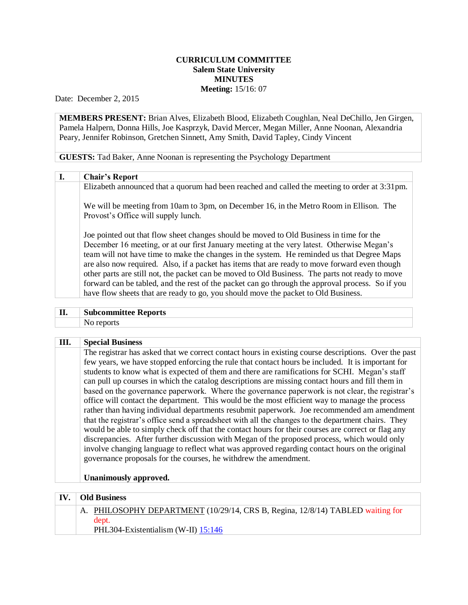## **CURRICULUM COMMITTEE Salem State University MINUTES Meeting:** 15/16: 07

Date: December 2, 2015

**MEMBERS PRESENT:** Brian Alves, Elizabeth Blood, Elizabeth Coughlan, Neal DeChillo, Jen Girgen, Pamela Halpern, Donna Hills, Joe Kasprzyk, David Mercer, Megan Miller, Anne Noonan, Alexandria Peary, Jennifer Robinson, Gretchen Sinnett, Amy Smith, David Tapley, Cindy Vincent

**GUESTS:** Tad Baker, Anne Noonan is representing the Psychology Department

## **I. Chair's Report**

Elizabeth announced that a quorum had been reached and called the meeting to order at 3:31pm.

We will be meeting from 10am to 3pm, on December 16, in the Metro Room in Ellison. The Provost's Office will supply lunch.

Joe pointed out that flow sheet changes should be moved to Old Business in time for the December 16 meeting, or at our first January meeting at the very latest. Otherwise Megan's team will not have time to make the changes in the system. He reminded us that Degree Maps are also now required. Also, if a packet has items that are ready to move forward even though other parts are still not, the packet can be moved to Old Business. The parts not ready to move forward can be tabled, and the rest of the packet can go through the approval process. So if you have flow sheets that are ready to go, you should move the packet to Old Business.

| П. | <b>Subcommittee Reports</b> |
|----|-----------------------------|
|    | No reports                  |

## **III. Special Business**

The registrar has asked that we correct contact hours in existing course descriptions. Over the past few years, we have stopped enforcing the rule that contact hours be included. It is important for students to know what is expected of them and there are ramifications for SCHI. Megan's staff can pull up courses in which the catalog descriptions are missing contact hours and fill them in based on the governance paperwork. Where the governance paperwork is not clear, the registrar's office will contact the department. This would be the most efficient way to manage the process rather than having individual departments resubmit paperwork. Joe recommended am amendment that the registrar's office send a spreadsheet with all the changes to the department chairs. They would be able to simply check off that the contact hours for their courses are correct or flag any discrepancies. After further discussion with Megan of the proposed process, which would only involve changing language to reflect what was approved regarding contact hours on the original governance proposals for the courses, he withdrew the amendment.

## **Unanimously approved.**

| <b>IV.</b> | Old Business                                                                   |  |
|------------|--------------------------------------------------------------------------------|--|
|            | A. PHILOSOPHY DEPARTMENT (10/29/14, CRS B, Regina, 12/8/14) TABLED waiting for |  |
|            | dept.                                                                          |  |
|            | PHL304-Existentialism (W-II) $15:146$                                          |  |